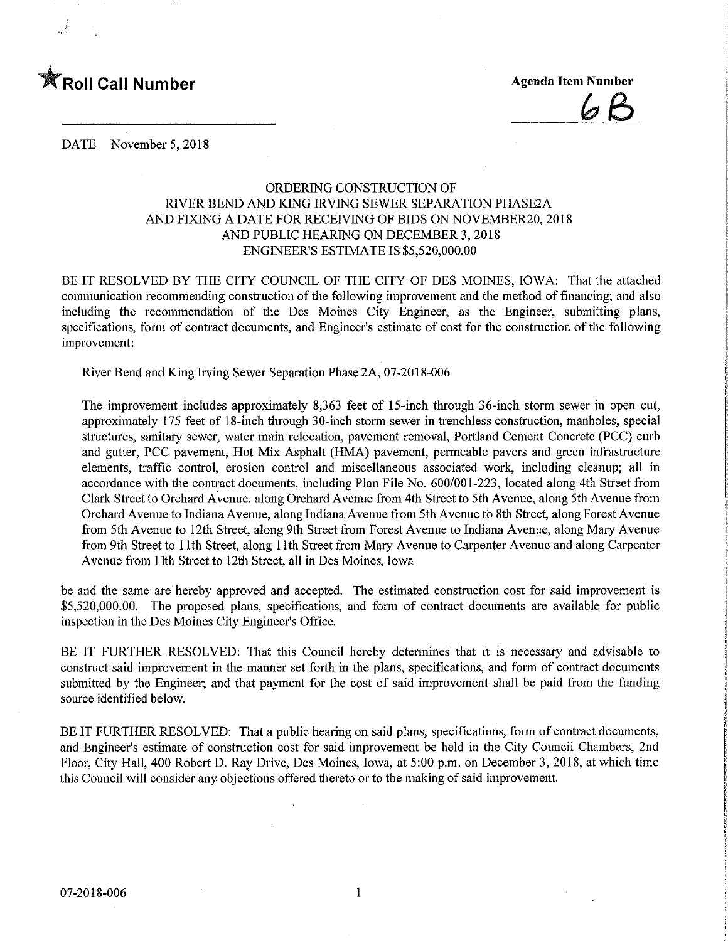

DATE November 5, 2018

## ORDERING CONSTRUCTION OF RIVER BEND AND KING IRVING SEWER SEPARATION PHASE2A AND FIXING A DATE FOR RECEWING OF BIDS ON NOVEMBER20, 2018 AND PUBLIC HEARING ON DECEMBER 3,2018 ENGINEER'S ESTMATE IS \$5,520,000.00

BE IT RESOLVED BY THE CITY COUNCIL OF THE CITY OF DES MOINES, IOWA: That the attached communication recommending construction of the following improvement and the method of financing; and also including the recommendation of the Des Moines City Engineer, as the Engineer, submitting plans, specifications, form of contract documents, and Engineer's estimate of cost for the construction of the following improvement:

River Bend and King Irving Sewer Separation Phase 2A, 07-20 18-006

The improvement includes approximately 8,363 feet of 15-mch through 36-inch storm sewer in open cut, approximately 175 feet of 18-mch through 30-inch storm sewer in trenchless construction, manholes, special structures, sanitary sewer, water main relocation, pavement removal, Portland Cement Concrete (PCC) curb and gutter, PCC pavement. Hot Mix Asphalt (HMA) pavement, permeable pavers and green infrastructure elements, traffic control, erosion control and miscellaneous associated work, including cleanup; all in accordance with the contract documents, including Plan File No. 600/001-223, located along 4th Street from Clark Street to Orchard Avenue, along Orchard Avenue from 4th Street to 5th Avenue, along 5th Avenue from Orchard Avenue to Indiana Avenue, along Indiana Avenue from 5th Avenue to 8th Street, along Forest Avenue from 5th Avenue to 12th Street, along 9th Street from Forest Avenue to Indiana Avenue, along Mary Avenue from 9th Street to 11th Street, along 11th Street from Mary Avenue to Carpenter Avenue and along Carpenter Avenue from 1 Ith Street to 12th Street, all in Des Moines, Iowa

be and the same are hereby approved and accepted. The estimated construction cost for said improvement is \$5,520,000.00. The proposed plans, specifications, and form of contract documents are available for public inspection in the Des Moines City Engineer's Office.

BE IT FURTHER RESOLVED: That this Council hereby determines that it is necessary and advisable to construct said improvement in the manner set forth in the plans, specifications, and form of contract documents submitted by the Engineer; and that payment for the cost of said improvement shall be paid from the funding source identified below.

BE IT FURTHER RESOLVED: That a public hearing on said plans, specifications, form of contract documents, and Engineer's estimate of construction cost for said improvement be held in the City Council Chambers, 2nd Floor, City Hall, 400 Robert D. Ray Drive, Des Moines, Iowa, at 5:00 p.m. on December 3, 2018, at which time this Council will consider any objections offered thereto or to the making of said improvement.

 $\mathbf{1}$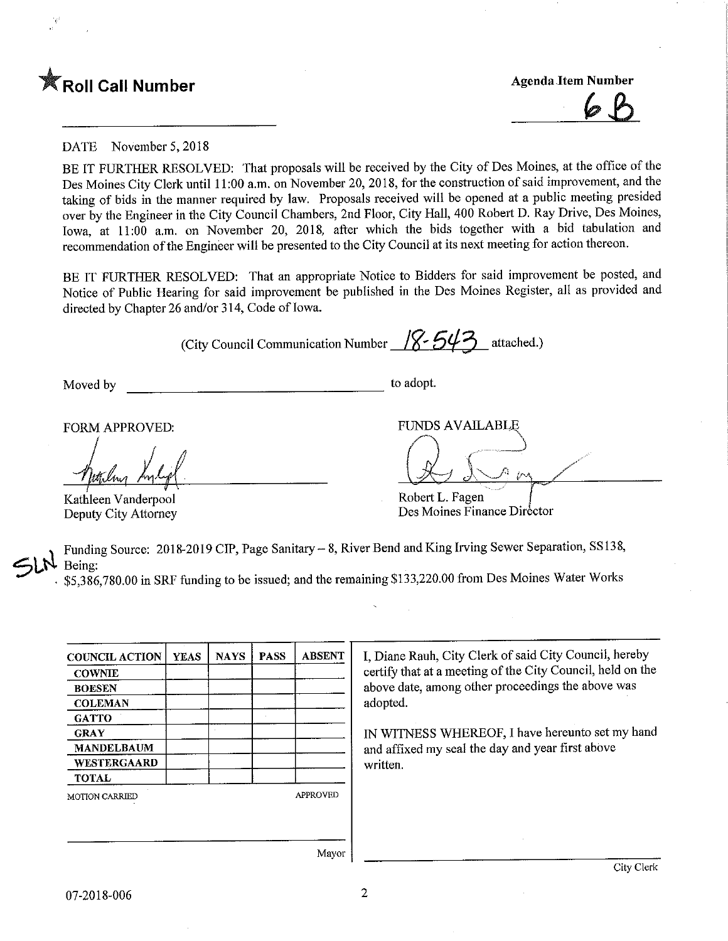

DATE November 5,2018

BE IT FURTHER RESOLVED: That proposals will be received by the City of Des Moines, at the office of the Des Moines City Clerk until 11 ;00 a.m. on November 20, 2018, for the construction of said improvement, and the taking of bids in the manner required by law. Proposals received will be opened at a public meeting presided over by the Engineer in the City Council Chambers, 2nd Floor, City Hall, 400 Robert D. Ray Drive, Des Moines, Iowa, at 11:00 a.m. on November 20, 2018, after which the bids together with a bid tabulation and recommendation of the Engineer will be presented to the City Council at its next meeting for action thereon.

BE IT FURTHER RESOLVED: That an appropriate Notice to Bidders for said improvement be posted, and Notice of Public Hearing for said improvement be published in the Des Moines Register, all as provided and directed by Chapter 26 and/or 314, Code of Iowa.

(City Council Communication Number  $\sqrt{8}$  543 attached.)

Moved by to adopt.

FORM APPROVED: THE PUNDS AVAILABLE

Kathleen Vanderpool Deputy City Attorney

Robert L. Fagen

Des Moines Finance Director

Funding Source: 2018-2019 CIP, Page Sanitary - 8, River Bend and King Irving Sewer Separation, SS138, Being:

. \$5,386,780.00 in SRF funding to be issued; and the remaining \$133,220.00 from Des Moines Water Works

| <b>COUNCIL ACTION</b> | <b>YEAS</b> | <b>NAYS</b> | <b>PASS</b> | <b>ABSENT</b> |
|-----------------------|-------------|-------------|-------------|---------------|
| <b>COWNIE</b>         |             |             |             |               |
| <b>BOESEN</b>         |             |             |             |               |
| <b>COLEMAN</b>        |             |             |             |               |
| <b>GATTO</b>          |             |             |             |               |
| <b>GRAY</b>           |             |             |             |               |
| <b>MANDELBAUM</b>     |             |             |             |               |
| WESTERGAARD           |             |             |             |               |
| <b>TOTAL</b>          |             |             |             |               |
|                       |             |             |             |               |

I, Diane Rauh, City Clerk of said City Council, hereby certify that at a meeting of the City Council, held on the above date, among other proceedings the above was adopted.

IN WITNESS WHEREOF, I have hereunto set my hand and affixed my seal the day and year first above written.

Mayor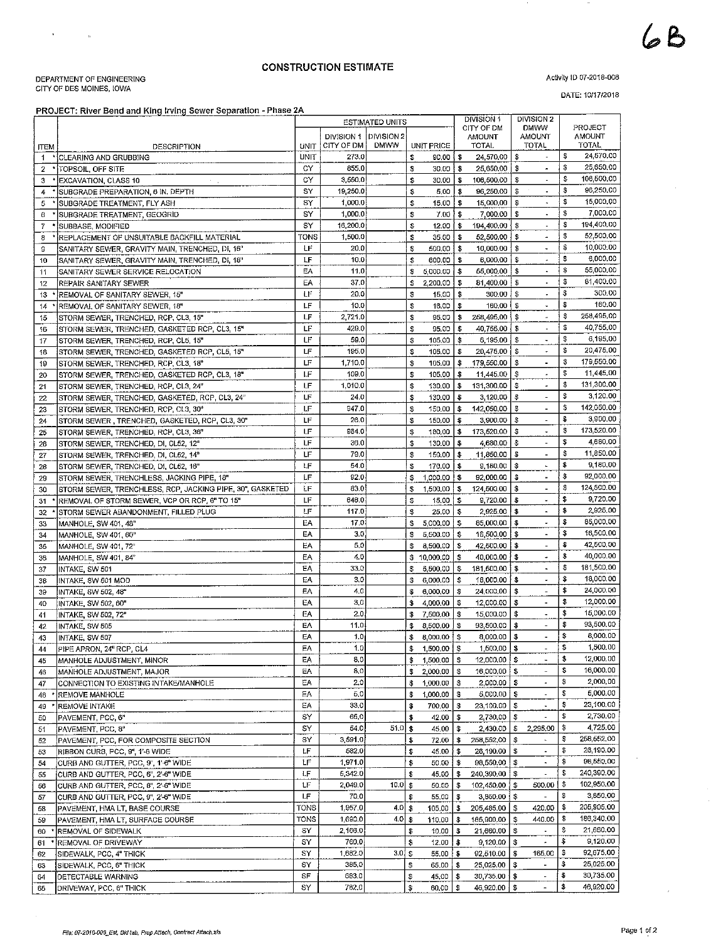## CONSTRUCTION ESTIMATE

DEPARTMENT OF ENGINEERING<br>CITY OF DES MOINES, IOWA

## PROJECT: River Bend and King Irving Sewer Separation - Phase 2A

Activity ID 07-2018-006

DATE: 10/17/2018

|                | <b>PROJECT: River Bend and King trying Sewer Separation - Fridse ZA</b> |             |            | <b>ESTIMATED UNITS</b> |            |                       |                 | DIVISION 1                         | DIVISION 2                             |                  |
|----------------|-------------------------------------------------------------------------|-------------|------------|------------------------|------------|-----------------------|-----------------|------------------------------------|----------------------------------------|------------------|
|                |                                                                         |             |            |                        |            |                       |                 | CITY OF DM                         | <b>DMWW</b>                            | PROJECT          |
|                |                                                                         |             | DIVISION 1 | DIVISION 2             |            |                       |                 | <b>AMOUNT</b>                      | <b>AMOUNT</b>                          | <b>AMOUNT</b>    |
| <b>ITEM</b>    | DESCRIPTION                                                             | <b>UNIT</b> | CITY OF DM | <b>DMWW</b>            |            | UNIT PRICE            |                 | TOTAL.                             | TOTAL                                  | <b>TOTAL</b>     |
| $\mathbf{1}$   | * CLEARING AND GRUBBING                                                 | UNIT        | 273.0      |                        | \$         | $90,00$ $\frac{1}{3}$ |                 | 24,570.00                          | \$<br>$\omega$                         | \$<br>24,570.00  |
| 2              | * TOPSOIL, OFF SITE                                                     | CY          | 855.0      |                        | \$         | $30.00$   \$          |                 | 25,650,00                          | - \$<br>$\blacksquare$                 | \$<br>25,650.00  |
| з              | EXCAVATION, CLASS 10                                                    | C٧          | 3,550.0    |                        | \$         | $30.00$   \$          |                 | 106,500.00                         | $\hat{\mathbf{z}}$<br>5                | \$<br>106,500,00 |
| 4              | SUBGRADE PREPARATION, 6 IN. DEPTH                                       | S٢          | 19,250.0   |                        | \$         | 5,00                  | -\$             | 96,250.00                          | -\$<br>$\blacksquare$                  | \$<br>96,250.00  |
| 5              | SUBGRADE TREATMENT, FLY ASH                                             | SY          | 1,000.0    |                        | \$         | 15.00                 | \$              | 15,000,00                          | -3<br>$\tilde{\phantom{a}}$            | \$<br>15,000.00  |
| 6              | SUBGRADE TREATMENT, GEOGRID                                             | S٧          | 1,000.0    |                        | \$         | $7.00$ $\uparrow$ \$  |                 | 7,000.00                           | - \$<br>$\blacksquare$                 | \$<br>7,000,00   |
| $\overline{f}$ | SUBBASE, MODIFIED                                                       | SY          | 16,200,0   |                        | \$         | $12,00$   \$          |                 | 194,400.00                         | - \$<br>$\blacksquare$                 | \$<br>194,400.00 |
| 8              | REPLACEMENT OF UNSUITABLE BACKFILL MATERIAL                             | TONS        | 1,500.0    |                        | \$         | 35.00                 | -\$             | 52,500,00                          | - \$<br>$\omega$                       | \$<br>52,500.00  |
| 9              | SANITARY SEWER, GRAVITY MAIN, TRENCHED, DI, 16"                         | LF          | 20.0       |                        | \$         | 500.00                | \$              | 10,000.00                          | - \$<br>$\blacksquare$                 | \$<br>10,000.00  |
| 10             | SANITARY SEWER, GRAVITY MAIN, TRENCHED, DI, 18"                         | LF          | 10.0       |                        | \$         | 600,00                | $\bullet$       | 6,000,00                           | - \$<br>$\star$                        | \$<br>6,000.00   |
| 11             | SANITARY SEWER SERVICE RELOCATION                                       | EA          | 11.0       |                        | \$         | 5,000.00              | $\ddot{\bm{x}}$ | 55,000,00                          | -\$<br>$\blacksquare$                  | \$<br>55,000,00  |
| 12             | REPAIR SANITARY SEWER                                                   | EA          | 37.0       |                        | \$         | 2,200.00              | \$              | 81,400.00                          | -\$<br>$\blacksquare$                  | \$<br>81,400.00  |
| 13             | REMOVAL OF SANITARY SEWER, 16"                                          | LF          | 20.0       |                        | \$         | 15,00                 | $\ddot{\bm{x}}$ | 300.00                             | - \$<br>$\blacksquare$                 | \$<br>300.00     |
| 14             | REMOVAL OF SANITARY SEWER, 18"                                          | LF          | 10.0       |                        | \$         | 16,00                 | \$              | 160,00                             | - \$<br>$\blacksquare$                 | \$<br>160.00     |
| 15             | STORM SEWER, TRENCHED, RCP, CL3, 15"                                    | LF          | 2,721.0    |                        | \$         | 95.00                 | \$              | 258,495,00                         | S<br>$\bullet\bullet$                  | \$<br>258,495.00 |
| 16             | STORM SEWER, TRENCHED, GASKETED RCP, CL3, 15"                           | LF          | 429.0      |                        | \$         | 95.00                 | $\ddot{x}$      | 40,755.00                          | - \$<br>$\overline{\phantom{a}}$       | \$<br>40,755.00  |
| 17             | STORM SEWER, TRENCHED, RCP, CL5, 15"                                    | LF          | 59.0       |                        | \$         | 105,00                | \$              | 6,195.00                           | \$                                     | \$<br>6,195,00   |
| 18             | STORM SEWER, TRENCHED, GASKETED RCP, CL5, 15"                           | LF          | 195.0      |                        | \$         | 105.00                | \$              | 20,475.00                          | \$<br>$\bullet$                        | \$<br>20,475,00  |
| 19             | STORM SEWER, TRENCHED, RCP, CL3, 18"                                    | LF          | 1,710.0    |                        | \$         | 105.00                | \$              | 179,550.00                         | -\$<br>$\blacksquare$                  | \$<br>179,550.00 |
| 20             | STORM SEWER, TRENCHED, GASKETED RCP, CL3, 18"                           | LF          | 109.0      |                        | \$         | 105,00                | \$              | 11,445.00                          | \$<br>$\ddot{\phantom{0}}$             | \$<br>11,445.00  |
| 21             | STORM SEWER, TRENCHED, RCP, CL3, 24"                                    | LF          | 1,010.0    |                        | \$         | 130.00                | \$              | 131,300.00                         | \$<br>$\bullet$                        | \$<br>131,300,00 |
| 22             | STORM SEWER, TRENCHED, GASKETED, RCP, CL3, 24"                          | LF          | 24.0       |                        | \$         | 130.00                | \$              | 3,120.00                           | -\$<br>$\blacksquare$                  | \$<br>3,120.00   |
| 23             | STORM SEWER, TRENCHED, RCP, CL3, 30"                                    | LF          | 947.0      |                        | \$         | 150.00                | \$              | 142,050,00                         | \$<br>$\sim$                           | \$<br>142,050,00 |
|                |                                                                         | LF          | 26.0       |                        | \$         | 150,00                | \$              | 3,900.00                           | \$                                     | \$<br>3,900.00   |
| 24             | STORM SEWER, TRENCHED, GASKETED, RCP, CL3, 30"                          | LF          | 964.0      |                        | \$         | 180.00                | \$              | 173,520.00                         | \$<br>$\tilde{\phantom{a}}$            | \$<br>173,520.00 |
| 25             | STORM SEWER, TRENCHED, RCP, CL3, 36"                                    | LF          | 36.0       |                        | \$         |                       | \$              | 4,680.00                           | \$<br>$\blacksquare$                   | \$<br>4,680,00   |
| 26             | STORM SEWER, TRENCHED, DI, CL52, 12"                                    | LF          | 79,0       |                        | \$         | 130.00                |                 |                                    | \$<br>ä,                               | \$<br>11,850,00  |
| 27             | STORM SEWER, TRENCHED, DI, CL52, 14"                                    | LF          | 54.0       |                        |            | 150.00                | $\sqrt{3}$      | 11,850,00                          | $\omega$                               | \$<br>9,180.00   |
| 28             | STORM SEWER, TRENCHED, DI, CL62, 16"                                    |             |            |                        | \$         | 170,00                | \$              | 9,180.00                           | \$                                     | \$<br>92,000.00  |
| 29             | STORM SEWER, TRENCHLESS, JACKING PIPE, 18"                              | LF          | 92.0       |                        | \$         | 1,000.00              | \$              | 92,000.00                          | \$<br>$\bullet$                        | \$<br>124,500.00 |
| 30             | STORM SEWER, TRENCHLESS, RCP, JACKING PIPE, 30", GASKETED               | LF          | 83.0       |                        | \$         | $1,500.00$   \$       |                 | 124,500.00                         | \$<br>$\blacksquare$                   |                  |
| 31             | REMOVAL OF STORM SEWER, VCP OR RCP, 6" TO 15"                           | LF          | 648.0      |                        | \$         | 15,00                 | \$              | 9,720.00                           | s<br>$\overline{\phantom{a}}$          | \$<br>9,720.00   |
| 32             | STORM SEWER ABANDONMENT, FILLED PLUG                                    | LF          | 117.0      |                        | \$         | 25.00                 | $\mathbf{f}$    | 2,925.00                           | s<br>$\blacksquare$                    | \$<br>2,925.00   |
| 33             | MANHOLE, SW 401, 48"                                                    | EA          | 17.0       |                        | \$         | 5,000,00              | \$              | 85,000.00                          | \$<br>$\tilde{\phantom{a}}$            | \$<br>85,000.00  |
| 34             | MANHOLE, SW 401, 60"                                                    | EA          | 3.0        |                        | \$         | 5,500.00              | \$              | 16,500,00                          | \$<br>$\blacksquare$                   | \$<br>16,500,00  |
| 35             | MANHOLE, SW 401, 72"                                                    | EA          | 5.0        |                        | S          | 8,500.00              | \$              | 42,500.00                          | \$<br>$\overline{\phantom{a}}$         | \$<br>42,500,00  |
| 36             | MANHOLE, SW 401, 84"                                                    | EA          | 4.0        |                        |            | \$10,000.00           | \$              | 40,000.00                          | \$<br>$\bullet$                        | \$<br>40,000.00  |
| 37             | INTAKE, SW 501                                                          | EA          | 33.0       |                        | \$         | 5,500.00              | \$              | 181,500,00                         | £.<br>٠                                | \$<br>181,500.00 |
| 38             | INTAKE, SW 501 MOD                                                      | EA          | 3,0        |                        |            | 6,000.00              | \$              | 18,000.00                          | - \$<br>$\omega$                       | \$<br>18,000.00  |
| 39             | INTAKE, SW 502, 48"                                                     | EA          | 4.0        |                        | \$         | 6,000.00              | \$              | 24,000.00                          | \$<br>$\tilde{\phantom{a}}$            | \$<br>24,000.00  |
| 40             | INTAKE, SW 502, 60"                                                     | EA          | 3,0        |                        | \$         | 4,000.00              | \$              | 12,000.00                          | \$                                     | \$<br>12,000,00  |
| 41             | INTAKE, SW 502, 72"                                                     | EA          | 2.0        |                        | \$         | 7,500.00              | \$              | 15,000.00                          | \$<br>$\blacksquare$                   | \$<br>15,000.00  |
| 42             | INTAKE, SW 505                                                          | EA          | 11.0       |                        | \$         | 8,500.00              | l \$            | 93,500,00                          | \$<br>$\tilde{\phantom{a}}$            | \$<br>93,500.00  |
| 43             | INTAKE, SW 507                                                          | EΑ          | 1.0        |                        | \$         | 8,000.00              | l \$            | 8,000.00                           | \$                                     | \$<br>8,000.00   |
| 44             | PIPE APRON, 24" RCP, CL4                                                | EA,         | 1.0        |                        | \$         | 1,500.00 \$           |                 | $1,500.00$   \$                    |                                        | \$<br>1,500.00   |
| 45             | MANHOLE ADJUSTMENT, MINOR                                               | EΑ          | 8,0        |                        | \$         | 1,500,00              | l \$            | 12,000,00   \$                     |                                        | \$<br>12,000.00  |
| 46             | MANHOLE ADJUSTMENT, MAJOR                                               | EA          | 8,0        |                        | \$         | 2,000.00              | \$              | 16,000,00                          | \$<br>$\blacksquare$                   | \$<br>16,000,00  |
| 47             | CONNECTION TO EXISTING INTAKE/MANHOLE                                   | EΑ          | 2,0        |                        | \$         | 1,000.00              | \$              | $2,000.00$   \$                    | $\blacksquare$                         | \$<br>2,000,00   |
| 48             | REMOVE MANHOLE                                                          | EA          | 5,0        |                        | \$         | 1,000.00              | \$              | $5,000.00$   \$                    |                                        | \$<br>5,000.00   |
| 49             | REMOVE INTAKE                                                           | EA          | 33.0       |                        | \$         | 700,00                | $\mathfrak{p}$  | 23,100.00                          | $\ddot{\Phi}$<br>$\blacksquare$        | \$<br>23,100.00  |
| 50             | PAVEMENT, PCC, 6"                                                       | SY          | 65,0       |                        | \$         | 42.00                 | \$              | 2,730.00                           | -\$                                    | \$<br>2,730.00   |
| 51             | PAVEMENT, PCC, 8"                                                       | SY          | 54.0       | 51.0                   | $\sqrt{3}$ | 45.00                 | \$              | 2,430.00                           | \$<br>2,295.00                         | \$<br>4,725.00   |
| 52             | PAVEMENT, PCC, FOR COMPOSITE SECTION                                    | SΥ          | 3,591.0    |                        | \$         | 72.00                 | \$              | 258,552,00                         | $\ddot{x}$<br>a.                       | \$<br>258,552.00 |
| 53             | RIBBON CURB, PCC, 9", 1'-6 WIDE                                         | LF          | 582.0      |                        | \$         | 45.00                 | \$              | $26,190.00$ \$                     | $\blacksquare$                         | \$<br>26,190.00  |
| 54             | CURB AND GUTTER, PCC, 9", 1'-6" WIDE                                    | LF          | 1.971.0    |                        | \$         | 50.00                 | \$              | 98,550,00                          | \$<br>۰                                | \$<br>98,550.00  |
| 55             | CURB AND GUTTER, PCC, 6", 2-6" WIDE                                     | LF          | 5,342.0    |                        | \$         | 45.00                 | \$              | 240,390.00                         | S                                      | \$<br>240,390.00 |
| 56             | CURB AND GUTTER, PCC, 8", 2'-6" WIDE                                    | LF          | 2,049.0    | 10.0                   | \$         | 50.00                 | \$              | 102,450.00 }                       | 500.00<br>\$                           | \$<br>102,950.00 |
| 57             | CURB AND GUTTER, PCC, 9", 2'-6" WIDE                                    | LF          | 70,0       |                        | \$         | 55.00                 | \$              | 3,850.00                           | \$<br>$\tilde{\phantom{a}}$            | \$<br>3,850,00   |
| 58             | PAVEMENT, HMA LT, BASE COURSE                                           | TONS        | 1,957.0    | 4.0                    | \$         | 105.00                | \$              | 205,485.00                         | \$<br>420,00                           | \$<br>205,905.00 |
| 59             |                                                                         | TONS        | 1,690.0    | 4.0                    | 5          | 110.00                |                 | 185,900,00                         | 440.00<br>\$                           | \$<br>186,340.00 |
| 60             |                                                                         |             |            |                        |            |                       |                 |                                    |                                        |                  |
|                | PAVEMENT, HMA LT, SURFACE COURSE                                        | SY          | 2,166.0    |                        | \$         | 10.00                 | \$              | 21,660.00                          | \$                                     | \$<br>21,660,00  |
|                | <b>REMOVAL OF SIDEWALK</b>                                              | SY          | 760.0      |                        | \$         |                       | \$              | 9,120,00                           | $\ddot{\ddot{\Phi}}$<br>$\blacksquare$ | \$<br>9,120.00   |
| 61             | REMOVAL OF DRIVEWAY                                                     | SY          | 1,682.0    | $3.0\vert\;$ \$        |            | 12 00                 |                 |                                    | 165,00<br>\$                           | \$<br>92,675.00  |
| 62             | SIDEWALK, PCC, 4" THICK                                                 | SY          | 385,0      |                        |            | $55,00$ $\frac{6}{5}$ |                 | 92,510.00                          | $\blacksquare$                         | \$<br>25,025.00  |
| 63<br>64       | SIDEWALK, PCC, 6" THICK<br>DETECTABLE WARNING                           | SF          | 683.0      |                        | \$<br>\$   | 65.00<br>45.00        | \$<br>\$        | 25 025,00   \$<br>$30,735.00$   \$ | ٠                                      | \$<br>30,735.00  |